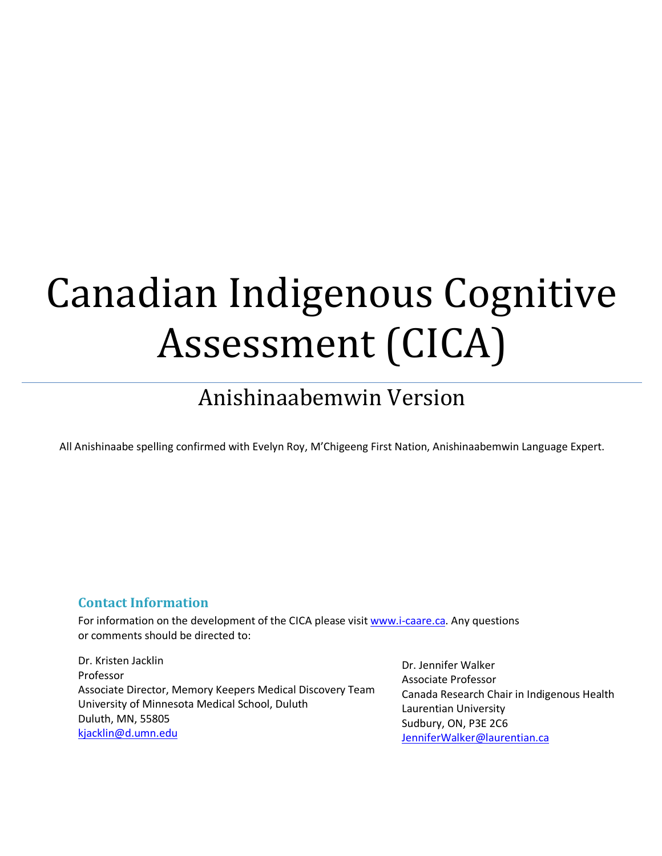# Canadian Indigenous Cognitive Assessment (CICA)

# Anishinaabemwin Version

All Anishinaabe spelling confirmed with Evelyn Roy, M'Chigeeng First Nation, Anishinaabemwin Language Expert.

# **Contact Information**

For information on the development of the CICA please visit www.i-caare.ca. Any questions or comments should be directed to:

Dr. Kristen Jacklin Professor Associate Director, Memory Keepers Medical Discovery Team University of Minnesota Medical School, Duluth Duluth, MN, 55805 kjacklin@d.umn.edu

Dr. Jennifer Walker Associate Professor Canada Research Chair in Indigenous Health Laurentian University Sudbury, ON, P3E 2C6 JenniferWalker@laurentian.ca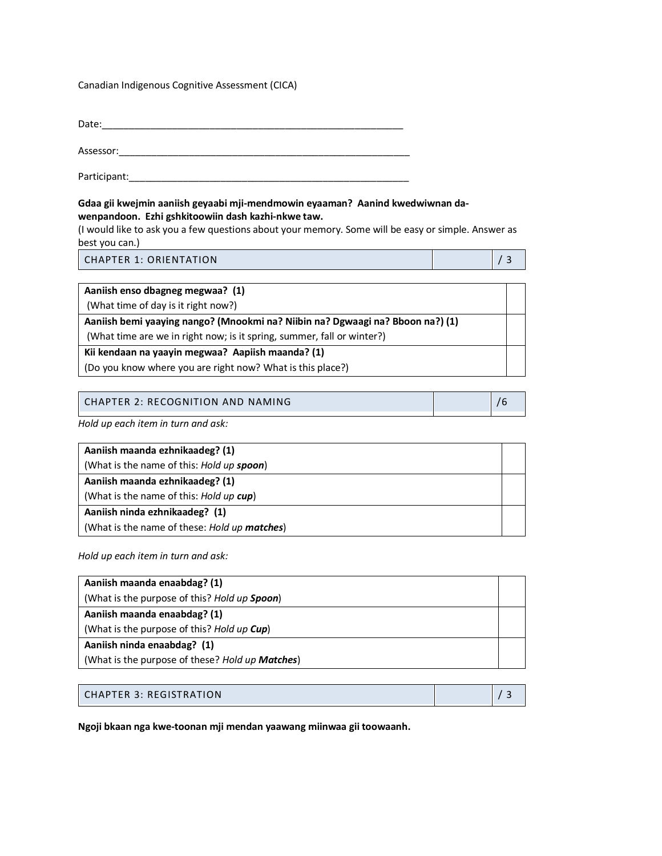#### Canadian Indigenous Cognitive Assessment (CICA)

Date:\_\_\_\_\_\_\_\_\_\_\_\_\_\_\_\_\_\_\_\_\_\_\_\_\_\_\_\_\_\_\_\_\_\_\_\_\_\_\_\_\_\_\_\_\_\_\_\_\_\_\_\_\_\_\_\_

Assessor:\_\_\_\_\_\_\_\_\_\_\_\_\_\_\_\_\_\_\_\_\_\_\_\_\_\_\_\_\_\_\_\_\_\_\_\_\_\_\_\_\_\_\_\_\_\_\_\_\_\_\_\_\_\_

Participant:\_\_\_\_\_\_\_\_\_\_\_\_\_\_\_\_\_\_\_\_\_\_\_\_\_\_\_\_\_\_\_\_\_\_\_\_\_\_\_\_\_\_\_\_\_\_\_\_\_\_\_\_

#### **Gdaa gii kwejmin aaniish geyaabi mji-mendmowin eyaaman? Aanind kwedwiwnan dawenpandoon. Ezhi gshkitoowiin dash kazhi-nkwe taw.**

(I would like to ask you a few questions about your memory. Some will be easy or simple. Answer as best you can.)

CHAPTER 1: ORIENTATION **/** 3

| Aaniish enso dbagneg megwaa? (1)                                               |  |
|--------------------------------------------------------------------------------|--|
| (What time of day is it right now?)                                            |  |
| Aaniish bemi yaaying nango? (Mnookmi na? Niibin na? Dgwaagi na? Bboon na?) (1) |  |
| (What time are we in right now; is it spring, summer, fall or winter?)         |  |
| Kii kendaan na yaayin megwaa? Aapiish maanda? (1)                              |  |
| (Do you know where you are right now? What is this place?)                     |  |

| CHAPTER 2: RECOGNITION AND NAMING |
|-----------------------------------|
|-----------------------------------|

*Hold up each item in turn and ask:*

| Aaniish maanda ezhnikaadeg? (1)              |  |
|----------------------------------------------|--|
| (What is the name of this: Hold up spoon)    |  |
| Aaniish maanda ezhnikaadeg? (1)              |  |
| (What is the name of this: Hold up cup)      |  |
| Aaniish ninda ezhnikaadeg? (1)               |  |
| (What is the name of these: Hold up matches) |  |

*Hold up each item in turn and ask:*

| Aaniish maanda enaabdag? (1)                    |  |
|-------------------------------------------------|--|
| (What is the purpose of this? Hold up Spoon)    |  |
| Aaniish maanda enaabdag? (1)                    |  |
| (What is the purpose of this? Hold up Cup)      |  |
| Aaniish ninda enaabdag? (1)                     |  |
| (What is the purpose of these? Hold up Matches) |  |

#### CHAPTER 3: REGISTRATION **/** 3

**Ngoji bkaan nga kwe-toonan mji mendan yaawang miinwaa gii toowaanh.**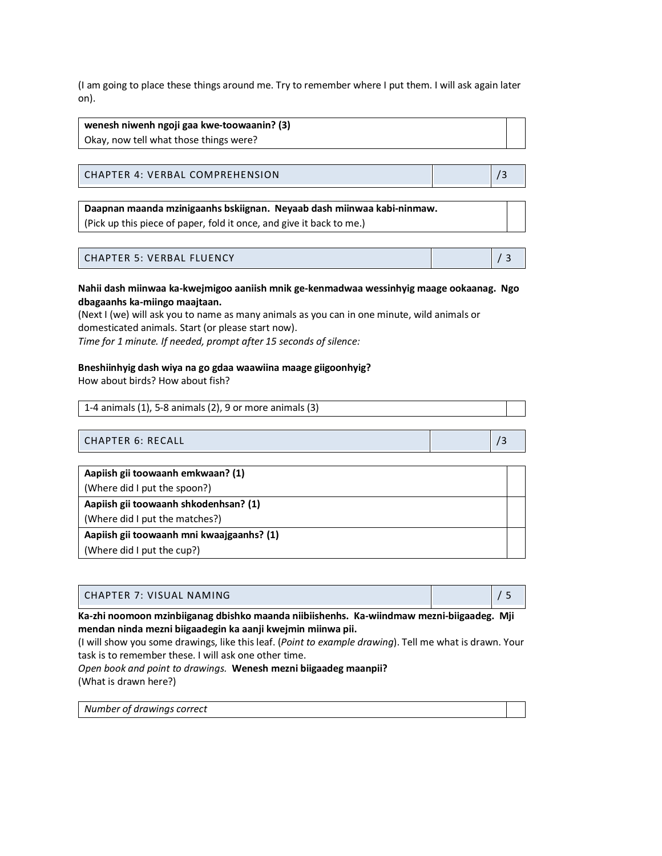(I am going to place these things around me. Try to remember where I put them. I will ask again later on).

**wenesh niwenh ngoji gaa kwe-toowaanin? (3)** Okay, now tell what those things were?

CHAPTER 4: VERBAL COMPREHENSION **/3** /3

**Daapnan maanda mzinigaanhs bskiignan. Neyaab dash miinwaa kabi-ninmaw.** (Pick up this piece of paper, fold it once, and give it back to me.)

#### CHAPTER 5: VERBAL FLUENCY **/ 3** and 20 and 3 and 3 and 3 and 3 and 3 and 3 and 3 and 3 and 3 and 3 and 3 and 3 and 3 and 3 and 3 and 3 and 3 and 3 and 3 and 3 and 3 and 3 and 3 and 3 and 3 and 3 and 3 and 3 and 3 and 3 and

**Nahii dash miinwaa ka-kwejmigoo aaniish mnik ge-kenmadwaa wessinhyig maage ookaanag. Ngo dbagaanhs ka-miingo maajtaan.** 

(Next I (we) will ask you to name as many animals as you can in one minute, wild animals or domesticated animals. Start (or please start now). *Time for 1 minute. If needed, prompt after 15 seconds of silence:*

#### **Bneshiinhyig dash wiya na go gdaa waawiina maage giigoonhyig?**

How about birds? How about fish?

1-4 animals (1), 5-8 animals (2), 9 or more animals (3)

CHAPTER 6: RECALL **And All According to the CHAPTER 6:** RECALL **And According to the CHAPTER 6:** RECALL

| Aapiish gii toowaanh emkwaan? (1)         |  |
|-------------------------------------------|--|
| (Where did I put the spoon?)              |  |
| Aapiish gii toowaanh shkodenhsan? (1)     |  |
| (Where did I put the matches?)            |  |
| Aapiish gii toowaanh mni kwaajgaanhs? (1) |  |
| (Where did I put the cup?)                |  |

| CHAPTER 7: VISUAL NAMING |  |
|--------------------------|--|
|                          |  |

**Ka-zhi noomoon mzinbiiganag dbishko maanda niibiishenhs. Ka-wiindmaw mezni-biigaadeg. Mji mendan ninda mezni biigaadegin ka aanji kwejmin miinwa pii.**

(I will show you some drawings, like this leaf. (*Point to example drawing*). Tell me what is drawn. Your task is to remember these. I will ask one other time.

#### *Open book and point to drawings.* **Wenesh mezni biigaadeg maanpii?** (What is drawn here?)

*Number of drawings correct*